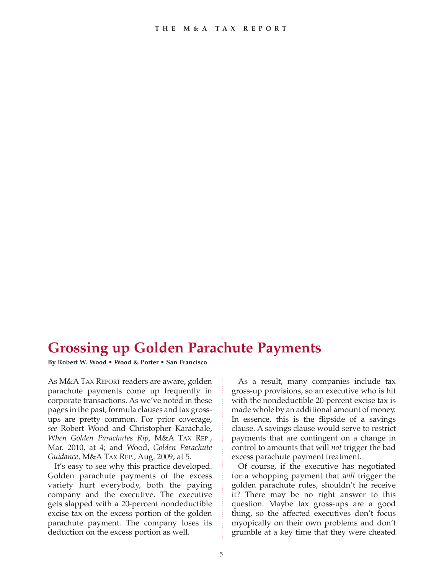## **Grossing up Golden Parachute Payments**

**By Robert W. Wood • Wood & Porter • San Francisco**

As M&A TAX REPORT readers are aware, golden parachute payments come up frequently in corporate transactions. As we've noted in these pages in the past, formula clauses and tax grossups are pretty common. For prior coverage, *see* Robert Wood and Christopher Karachale, *When Golden Parachutes Rip*, M&A TAX REP., Mar. 2010, at 4; and Wood, *Golden Parachute Guidance*, M&A TAX REP., Aug. 2009, at 5.

It's easy to see why this practice developed. Golden parachute payments of the excess variety hurt everybody, both the paying company and the executive. The executive gets slapped with a 20-percent nondeductible excise tax on the excess portion of the golden parachute payment. The company loses its deduction on the excess portion as well.

As a result, many companies include tax gross-up provisions, so an executive who is hit with the nondeductible 20-percent excise tax is made whole by an additional amount of money. In essence, this is the flipside of a savings clause. A savings clause would serve to restrict payments that are contingent on a change in control to amounts that will *not* trigger the bad excess parachute payment treatment.

Of course, if the executive has negotiated for a whopping payment that *will* trigger the golden parachute rules, shouldn't he receive it? There may be no right answer to this question. Maybe tax gross-ups are a good thing, so the affected executives don't focus myopically on their own problems and don't grumble at a key time that they were cheated